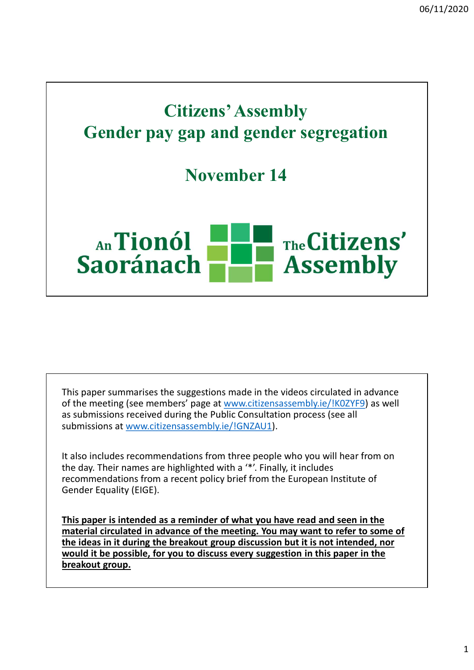## Citizens' Assembly Gender pay gap and gender segregation

November 14



This paper summarises the suggestions made in the videos circulated in advance of the meeting (see members' page at www.citizensassembly.ie/!K0ZYF9) as well as submissions received during the Public Consultation process (see all submissions at www.citizensassembly.ie/!GNZAU1). This paper summarises the suggestions made in the videos circulated in advance<br>of the meeting (see members' page at <u>www.citizensassembly.ie/IK0ZYF9</u>) as well<br>as submissions received during the Public Consultation process

It also includes recommendations from three people who you will hear from on recommendations from a recent policy brief from the European Institute of Gender Equality (EIGE).

This paper is intended as a reminder of what you have read and seen in the material circulated in advance of the meeting. You may want to refer to some of the ideas in it during the breakout group discussion but it is not intended, nor would it be possible, for you to discuss every suggestion in this paper in the breakout group.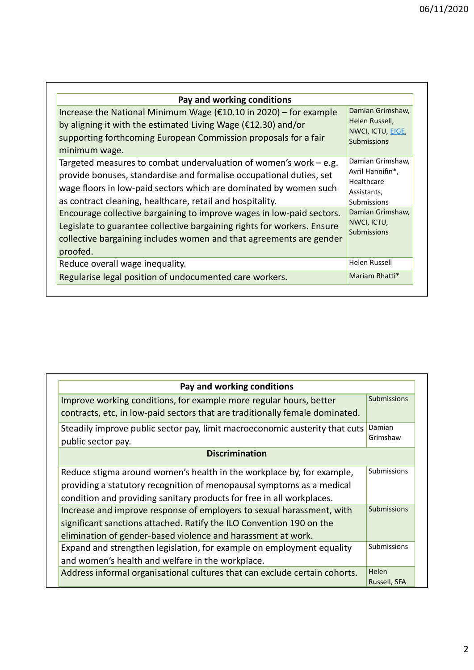| 06/11/2020<br>Pay and working conditions<br>Damian Grimshaw,<br>Increase the National Minimum Wage ( $£10.10$ in 2020) – for example<br>Helen Russell,<br>by aligning it with the estimated Living Wage ( $\epsilon$ 12.30) and/or<br>NWCI, ICTU, EIGE,<br>supporting forthcoming European Commission proposals for a fair<br>Submissions<br>minimum wage.<br>Damian Grimshaw,<br>Targeted measures to combat undervaluation of women's work $-e.g.$<br>Avril Hannifin*,<br>provide bonuses, standardise and formalise occupational duties, set<br>Healthcare<br>wage floors in low-paid sectors which are dominated by women such<br>Assistants,<br>as contract cleaning, healthcare, retail and hospitality.<br><b>Submissions</b><br>Damian Grimshaw,<br>Encourage collective bargaining to improve wages in low-paid sectors.<br>NWCI, ICTU,<br>Legislate to guarantee collective bargaining rights for workers. Ensure<br>Submissions<br>collective bargaining includes women and that agreements are gender<br>proofed.<br>Helen Russell<br>Reduce overall wage inequality.<br>Mariam Bhatti*<br>Regularise legal position of undocumented care workers. |  |  |
|----------------------------------------------------------------------------------------------------------------------------------------------------------------------------------------------------------------------------------------------------------------------------------------------------------------------------------------------------------------------------------------------------------------------------------------------------------------------------------------------------------------------------------------------------------------------------------------------------------------------------------------------------------------------------------------------------------------------------------------------------------------------------------------------------------------------------------------------------------------------------------------------------------------------------------------------------------------------------------------------------------------------------------------------------------------------------------------------------------------------------------------------------------------|--|--|
|                                                                                                                                                                                                                                                                                                                                                                                                                                                                                                                                                                                                                                                                                                                                                                                                                                                                                                                                                                                                                                                                                                                                                                |  |  |
|                                                                                                                                                                                                                                                                                                                                                                                                                                                                                                                                                                                                                                                                                                                                                                                                                                                                                                                                                                                                                                                                                                                                                                |  |  |
|                                                                                                                                                                                                                                                                                                                                                                                                                                                                                                                                                                                                                                                                                                                                                                                                                                                                                                                                                                                                                                                                                                                                                                |  |  |
|                                                                                                                                                                                                                                                                                                                                                                                                                                                                                                                                                                                                                                                                                                                                                                                                                                                                                                                                                                                                                                                                                                                                                                |  |  |
|                                                                                                                                                                                                                                                                                                                                                                                                                                                                                                                                                                                                                                                                                                                                                                                                                                                                                                                                                                                                                                                                                                                                                                |  |  |
|                                                                                                                                                                                                                                                                                                                                                                                                                                                                                                                                                                                                                                                                                                                                                                                                                                                                                                                                                                                                                                                                                                                                                                |  |  |
|                                                                                                                                                                                                                                                                                                                                                                                                                                                                                                                                                                                                                                                                                                                                                                                                                                                                                                                                                                                                                                                                                                                                                                |  |  |

| Pay and working conditions                                                                                                                         |                    |
|----------------------------------------------------------------------------------------------------------------------------------------------------|--------------------|
| Improve working conditions, for example more regular hours, better<br>contracts, etc, in low-paid sectors that are traditionally female dominated. | <b>Submissions</b> |
| Steadily improve public sector pay, limit macroeconomic austerity that cuts<br>public sector pay.                                                  | Damian<br>Grimshaw |
| <b>Discrimination</b>                                                                                                                              |                    |
| Reduce stigma around women's health in the workplace by, for example,                                                                              | Submissions        |
| providing a statutory recognition of menopausal symptoms as a medical                                                                              |                    |
| condition and providing sanitary products for free in all workplaces.                                                                              |                    |
| Increase and improve response of employers to sexual harassment, with                                                                              | <b>Submissions</b> |
| significant sanctions attached. Ratify the ILO Convention 190 on the                                                                               |                    |
| elimination of gender-based violence and harassment at work.                                                                                       |                    |
| Expand and strengthen legislation, for example on employment equality                                                                              | Submissions        |
| and women's health and welfare in the workplace.                                                                                                   |                    |
| Address informal organisational cultures that can exclude certain cohorts.                                                                         | Helen              |
|                                                                                                                                                    | Russell, SFA       |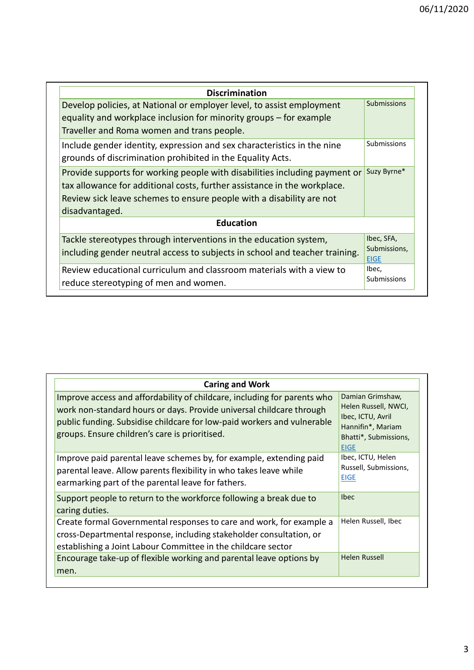|                                                                                                                                                                             | 06/11/2020 |
|-----------------------------------------------------------------------------------------------------------------------------------------------------------------------------|------------|
|                                                                                                                                                                             |            |
| <b>Discrimination</b>                                                                                                                                                       |            |
| <b>Submissions</b><br>Develop policies, at National or employer level, to assist employment                                                                                 |            |
| equality and workplace inclusion for minority groups - for example                                                                                                          |            |
| Traveller and Roma women and trans people.                                                                                                                                  |            |
| Submissions<br>Include gender identity, expression and sex characteristics in the nine<br>grounds of discrimination prohibited in the Equality Acts.                        |            |
| Suzy Byrne*<br>Provide supports for working people with disabilities including payment or                                                                                   |            |
| tax allowance for additional costs, further assistance in the workplace.                                                                                                    |            |
| Review sick leave schemes to ensure people with a disability are not                                                                                                        |            |
| disadvantaged.                                                                                                                                                              |            |
| <b>Education</b>                                                                                                                                                            |            |
| Ibec, SFA,<br>Tackle stereotypes through interventions in the education system,<br>Submissions.                                                                             |            |
|                                                                                                                                                                             |            |
| including gender neutral access to subjects in school and teacher training.<br><b>EIGE</b><br>Ibec,<br>Review educational curriculum and classroom materials with a view to |            |

| <b>Caring and Work</b>                                                                                                                                                                                                                                                        |                                                                                                                            |
|-------------------------------------------------------------------------------------------------------------------------------------------------------------------------------------------------------------------------------------------------------------------------------|----------------------------------------------------------------------------------------------------------------------------|
| Improve access and affordability of childcare, including for parents who<br>work non-standard hours or days. Provide universal childcare through<br>public funding. Subsidise childcare for low-paid workers and vulnerable<br>groups. Ensure children's care is prioritised. | Damian Grimshaw,<br>Helen Russell, NWCI,<br>Ibec, ICTU, Avril<br>Hannifin*, Mariam<br>Bhatti*, Submissions,<br><b>EIGE</b> |
| Improve paid parental leave schemes by, for example, extending paid<br>parental leave. Allow parents flexibility in who takes leave while<br>earmarking part of the parental leave for fathers.                                                                               | Ibec, ICTU, Helen<br>Russell, Submissions,<br><b>EIGE</b>                                                                  |
| Support people to return to the workforce following a break due to<br>caring duties.                                                                                                                                                                                          | <b>Ibec</b>                                                                                                                |
| Create formal Governmental responses to care and work, for example a<br>cross-Departmental response, including stakeholder consultation, or<br>establishing a Joint Labour Committee in the childcare sector                                                                  | Helen Russell, Ibec                                                                                                        |
| Encourage take-up of flexible working and parental leave options by<br>men.                                                                                                                                                                                                   | Helen Russell                                                                                                              |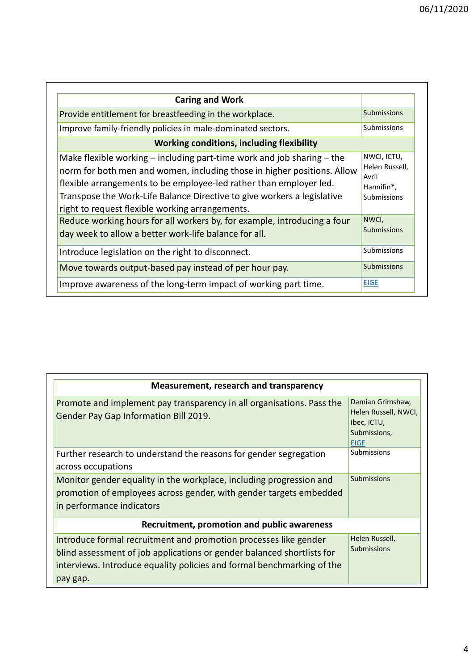| <b>Caring and Work</b>                                                                                                                                                                                                                                                                                                                                                                                                           |
|----------------------------------------------------------------------------------------------------------------------------------------------------------------------------------------------------------------------------------------------------------------------------------------------------------------------------------------------------------------------------------------------------------------------------------|
| Submissions<br>Provide entitlement for breastfeeding in the workplace.                                                                                                                                                                                                                                                                                                                                                           |
| Improve family-friendly policies in male-dominated sectors.<br>Submissions                                                                                                                                                                                                                                                                                                                                                       |
| <b>Working conditions, including flexibility</b>                                                                                                                                                                                                                                                                                                                                                                                 |
| NWCI, ICTU,<br>Make flexible working $-$ including part-time work and job sharing $-$ the<br>Helen Russell,<br>norm for both men and women, including those in higher positions. Allow<br>Avril<br>flexible arrangements to be employee-led rather than employer led.<br>Hannifin*,<br>Transpose the Work-Life Balance Directive to give workers a legislative<br>Submissions<br>right to request flexible working arrangements. |
| NWCI,<br>Reduce working hours for all workers by, for example, introducing a four<br>Submissions<br>day week to allow a better work-life balance for all.                                                                                                                                                                                                                                                                        |
| Submissions<br>Introduce legislation on the right to disconnect.                                                                                                                                                                                                                                                                                                                                                                 |
| <b>Submissions</b><br>Move towards output-based pay instead of per hour pay.                                                                                                                                                                                                                                                                                                                                                     |
|                                                                                                                                                                                                                                                                                                                                                                                                                                  |

| Measurement, research and transparency                                                                                                                                                                                           |                                                                                        |  |  |  |
|----------------------------------------------------------------------------------------------------------------------------------------------------------------------------------------------------------------------------------|----------------------------------------------------------------------------------------|--|--|--|
| Promote and implement pay transparency in all organisations. Pass the<br>Gender Pay Gap Information Bill 2019.                                                                                                                   | Damian Grimshaw,<br>Helen Russell, NWCI,<br>Ibec, ICTU,<br>Submissions,<br><b>EIGE</b> |  |  |  |
| Further research to understand the reasons for gender segregation<br>across occupations                                                                                                                                          | <b>Submissions</b>                                                                     |  |  |  |
| Monitor gender equality in the workplace, including progression and<br>promotion of employees across gender, with gender targets embedded<br>in performance indicators                                                           | Submissions                                                                            |  |  |  |
| Recruitment, promotion and public awareness                                                                                                                                                                                      |                                                                                        |  |  |  |
| Introduce formal recruitment and promotion processes like gender<br>blind assessment of job applications or gender balanced shortlists for<br>interviews. Introduce equality policies and formal benchmarking of the<br>pay gap. | Helen Russell,<br><b>Submissions</b>                                                   |  |  |  |